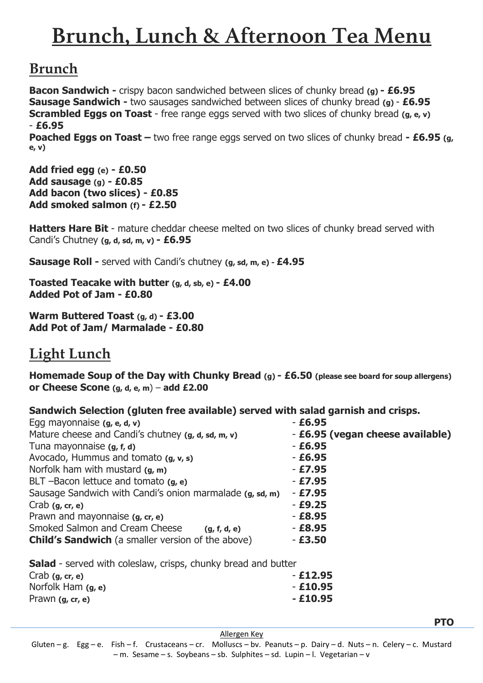# **Brunch, Lunch & Afternoon Tea Menu**

## **Brunch**

**Bacon Sandwich -** crispy bacon sandwiched between slices of chunky bread **(g) - £6.95 Sausage Sandwich -** two sausages sandwiched between slices of chunky bread **(g)** - **£6.95 Scrambled Eggs on Toast** - free range eggs served with two slices of chunky bread (g, e, v) - **£6.95** 

**Poached Eggs on Toast –** two free range eggs served on two slices of chunky bread **- £6.95 (g, e, v)**

**Add fried egg (e) - £0.50 Add sausage (g) - £0.85 Add bacon (two slices) - £0.85 Add smoked salmon (f) - £2.50**

**Hatters Hare Bit** - mature cheddar cheese melted on two slices of chunky bread served with Candi's Chutney **(g, d, sd, m, v) - £6.95**

**Sausage Roll -** served with Candi's chutney **(g, sd, m, e) - £4.95** 

**Toasted Teacake with butter (g, d, sb, e) - £4.00 Added Pot of Jam - £0.80**

**Warm Buttered Toast (g, d) - £3.00 Add Pot of Jam/ Marmalade - £0.80**

## **Light Lunch**

**Homemade Soup of the Day with Chunky Bread (g) - £6.50 (please see board for soup allergens) or Cheese Scone (g, d, e, m**) – **add £2.00**

**Sandwich Selection (gluten free available) served with salad garnish and crisps.**

| Egg mayonnaise (g, e, d, v)                              | $- E6.95$                        |
|----------------------------------------------------------|----------------------------------|
| Mature cheese and Candi's chutney (g, d, sd, m, v)       | - £6.95 (vegan cheese available) |
| Tuna mayonnaise (g, f, d)                                | $- E6.95$                        |
| Avocado, Hummus and tomato (g, v, s)                     | $- E6.95$                        |
| Norfolk ham with mustard $(g, m)$                        | $-£7.95$                         |
| BLT -Bacon lettuce and tomato $(g, e)$                   | $- E7.95$                        |
| Sausage Sandwich with Candi's onion marmalade (g, sd, m) | - £7.95                          |
| Crab $(g, cr, e)$                                        | $- E9.25$                        |
| Prawn and mayonnaise (g, cr, e)                          | $- E8.95$                        |
| Smoked Salmon and Cream Cheese<br>(g, f, d, e)           | $- E8.95$                        |
| <b>Child's Sandwich</b> (a smaller version of the above) | $- E3.50$                        |
|                                                          |                                  |

**Salad** - served with coleslaw, crisps, chunky bread and butter

| Crab $(g, cr, e)$    | $-£12.95$ |
|----------------------|-----------|
| Norfolk Ham $(g, e)$ | $-£10.95$ |
| Prawn $(g, cr, e)$   | $-£10.95$ |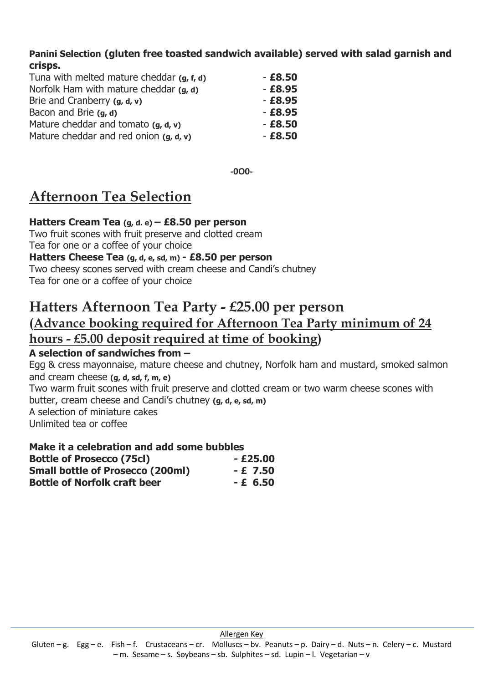**Panini Selection (gluten free toasted sandwich available) served with salad garnish and crisps.**

| Tuna with melted mature cheddar (g, f, d) | $-£8,50$  |
|-------------------------------------------|-----------|
| Norfolk Ham with mature cheddar (g, d)    | $- E8.95$ |
| Brie and Cranberry $(g, d, v)$            | $- E8.95$ |
| Bacon and Brie (g, d)                     | $- E8.95$ |
| Mature cheddar and tomato $(g, d, v)$     | $- E8.50$ |
| Mature cheddar and red onion $(g, d, v)$  | $-£8,50$  |

**-0O0-**

## **Afternoon Tea Selection**

**Hatters Cream Tea (g, d. e) – £8.50 per person**

Two fruit scones with fruit preserve and clotted cream Tea for one or a coffee of your choice

#### **Hatters Cheese Tea (g, d, e, sd, m) - £8.50 per person**

Two cheesy scones served with cream cheese and Candi's chutney Tea for one or a coffee of your choice

## **Hatters Afternoon Tea Party - £25.00 per person (Advance booking required for Afternoon Tea Party minimum of 24 hours - £5.00 deposit required at time of booking)**

#### **A selection of sandwiches from –**

Egg & cress mayonnaise, mature cheese and chutney, Norfolk ham and mustard, smoked salmon and cream cheese **(g, d, sd, f, m, e)** Two warm fruit scones with fruit preserve and clotted cream or two warm cheese scones with butter, cream cheese and Candi's chutney **(g, d, e, sd, m)** A selection of miniature cakes Unlimited tea or coffee

#### **Make it a celebration and add some bubbles**

| <b>Bottle of Prosecco (75cl)</b>        | $-£25.00$ |
|-----------------------------------------|-----------|
| <b>Small bottle of Prosecco (200ml)</b> | $-E$ 7.50 |
| <b>Bottle of Norfolk craft beer</b>     | $-E$ 6.50 |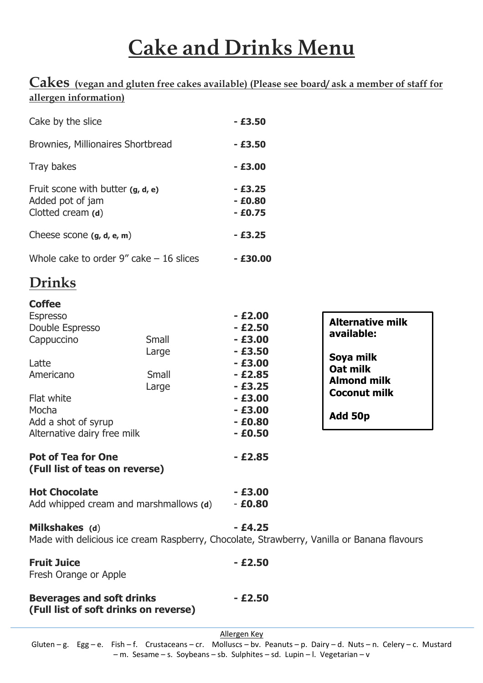# **Cake and Drinks Menu**

### **Cakes (vegan and gluten free cakes available) (Please see board/ ask a member of staff for allergen information)**

| Cake by the slice                                                                                                                                                    |                                        | $-£3,50$                                                                                                                              |                                                                                                                        |
|----------------------------------------------------------------------------------------------------------------------------------------------------------------------|----------------------------------------|---------------------------------------------------------------------------------------------------------------------------------------|------------------------------------------------------------------------------------------------------------------------|
| Brownies, Millionaires Shortbread                                                                                                                                    |                                        | $-£3.50$                                                                                                                              |                                                                                                                        |
| Tray bakes                                                                                                                                                           |                                        | $-£3.00$                                                                                                                              |                                                                                                                        |
| Fruit scone with butter (g, d, e)<br>Added pot of jam<br>Clotted cream (d)                                                                                           |                                        | $-£3.25$<br>$- E0.80$<br>$- E0.75$                                                                                                    |                                                                                                                        |
| Cheese scone $(g, d, e, m)$                                                                                                                                          |                                        | $-£3.25$                                                                                                                              |                                                                                                                        |
| Whole cake to order $9''$ cake $-16$ slices                                                                                                                          |                                        | $-£30.00$                                                                                                                             |                                                                                                                        |
| <b>Drinks</b>                                                                                                                                                        |                                        |                                                                                                                                       |                                                                                                                        |
| <b>Coffee</b><br><b>Espresso</b><br>Double Espresso<br>Cappuccino<br>Latte<br>Americano<br>Flat white<br>Mocha<br>Add a shot of syrup<br>Alternative dairy free milk | Small<br>Large<br>Small<br>Large       | $- E2.00$<br>$-£2.50$<br>$-£3.00$<br>$-£3.50$<br>$- E3.00$<br>$-£2.85$<br>$-£3.25$<br>$-£3.00$<br>$- E3.00$<br>$- E0.80$<br>$- E0.50$ | <b>Alternative milk</b><br>available:<br>Soya milk<br>Oat milk<br><b>Almond milk</b><br><b>Coconut milk</b><br>Add 50p |
| <b>Pot of Tea for One</b><br>(Full list of teas on reverse)                                                                                                          |                                        | $- E2.85$                                                                                                                             |                                                                                                                        |
| <b>Hot Chocolate</b>                                                                                                                                                 | Add whipped cream and marshmallows (d) | $-£3.00$<br>$- E0.80$                                                                                                                 |                                                                                                                        |
| Milkshakes (d)                                                                                                                                                       |                                        | $-£4.25$                                                                                                                              |                                                                                                                        |

Made with delicious ice cream Raspberry, Chocolate, Strawberry, Vanilla or Banana flavours

| <b>Fruit Juice</b>    |
|-----------------------|
| Fresh Orange or Apple |

**Beverages and soft drinks - £2.50 (Full list of soft drinks on reverse)**

**Fruit Juice - £2.50**